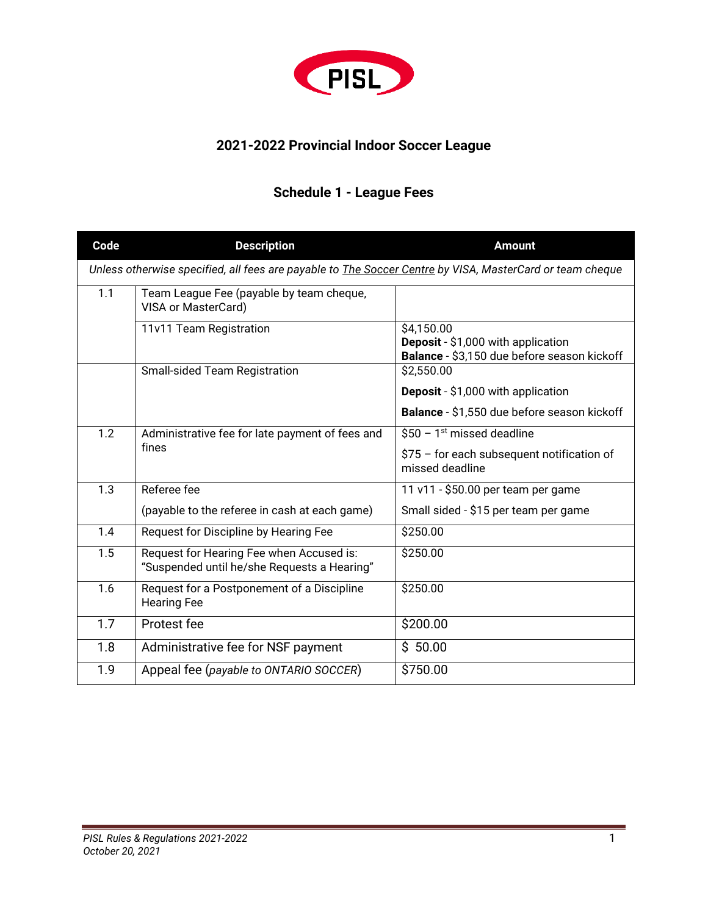

### **2021-2022 Provincial Indoor Soccer League**

# **Schedule 1 - League Fees**

| Code                                                                                                             | <b>Description</b>                                                                      | <b>Amount</b>                                                                                   |  |  |  |
|------------------------------------------------------------------------------------------------------------------|-----------------------------------------------------------------------------------------|-------------------------------------------------------------------------------------------------|--|--|--|
| Unless otherwise specified, all fees are payable to <b>The Soccer Centre by VISA</b> , MasterCard or team cheque |                                                                                         |                                                                                                 |  |  |  |
| 1.1                                                                                                              | Team League Fee (payable by team cheque,<br>VISA or MasterCard)                         |                                                                                                 |  |  |  |
|                                                                                                                  | 11v11 Team Registration                                                                 | \$4,150.00<br>Deposit - \$1,000 with application<br>Balance - \$3,150 due before season kickoff |  |  |  |
|                                                                                                                  | <b>Small-sided Team Registration</b>                                                    | \$2,550.00                                                                                      |  |  |  |
|                                                                                                                  |                                                                                         | <b>Deposit</b> - \$1,000 with application                                                       |  |  |  |
|                                                                                                                  |                                                                                         | Balance - \$1,550 due before season kickoff                                                     |  |  |  |
| 1.2                                                                                                              | Administrative fee for late payment of fees and<br>fines                                | $$50 - 1st$ missed deadline                                                                     |  |  |  |
|                                                                                                                  |                                                                                         | $$75$ – for each subsequent notification of<br>missed deadline                                  |  |  |  |
| 1.3                                                                                                              | Referee fee                                                                             | 11 v11 - \$50.00 per team per game                                                              |  |  |  |
|                                                                                                                  | (payable to the referee in cash at each game)                                           | Small sided - \$15 per team per game                                                            |  |  |  |
| 1.4                                                                                                              | Request for Discipline by Hearing Fee                                                   | \$250.00                                                                                        |  |  |  |
| 1.5                                                                                                              | Request for Hearing Fee when Accused is:<br>"Suspended until he/she Requests a Hearing" | \$250.00                                                                                        |  |  |  |
| 1.6                                                                                                              | Request for a Postponement of a Discipline<br><b>Hearing Fee</b>                        | \$250.00                                                                                        |  |  |  |
| 1.7                                                                                                              | Protest fee                                                                             | \$200.00                                                                                        |  |  |  |
| 1.8                                                                                                              | Administrative fee for NSF payment                                                      | \$50.00                                                                                         |  |  |  |
| 1.9                                                                                                              | Appeal fee (payable to ONTARIO SOCCER)                                                  | \$750.00                                                                                        |  |  |  |